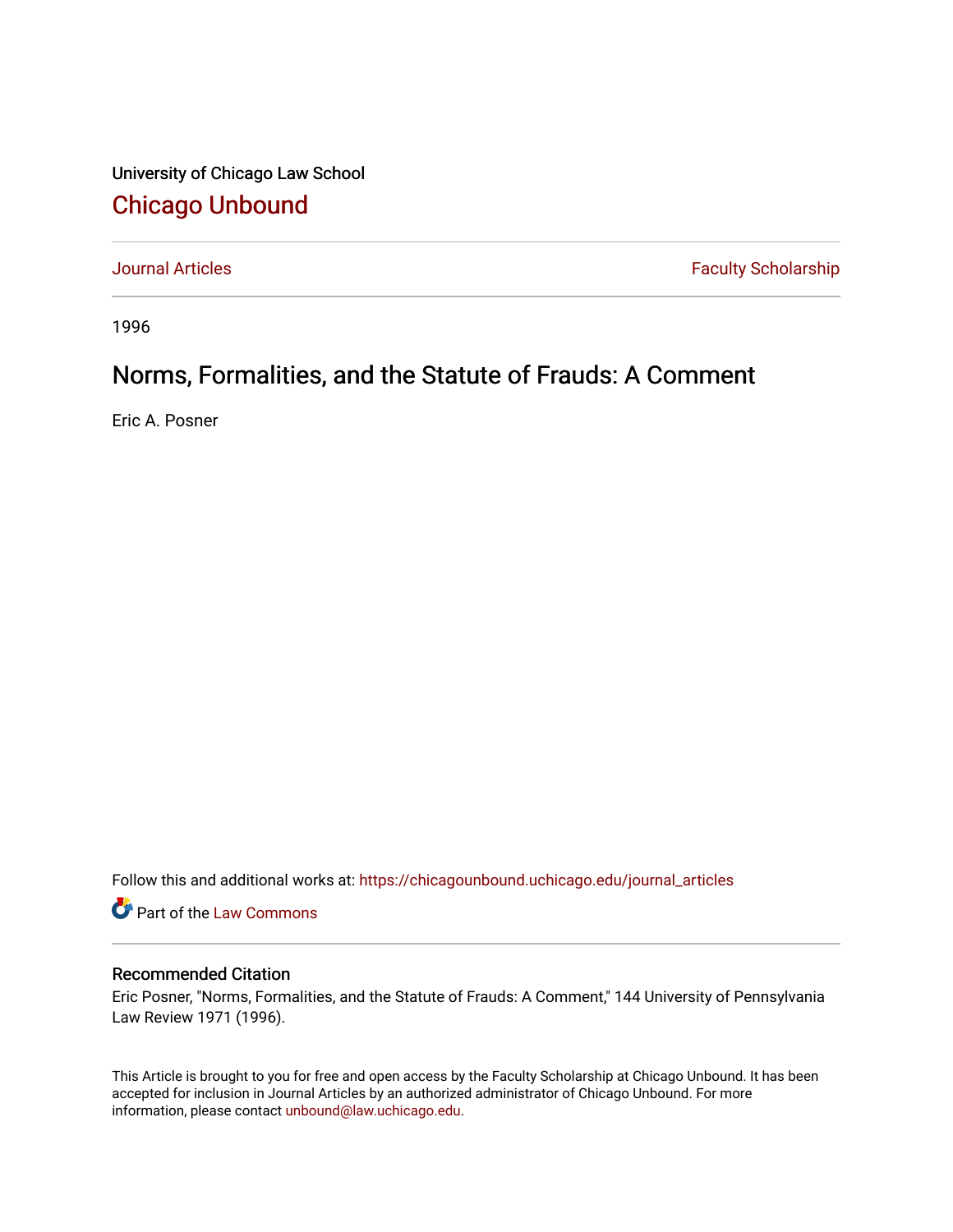University of Chicago Law School [Chicago Unbound](https://chicagounbound.uchicago.edu/)

[Journal Articles](https://chicagounbound.uchicago.edu/journal_articles) **Faculty Scholarship Faculty Scholarship** 

1996

# Norms, Formalities, and the Statute of Frauds: A Comment

Eric A. Posner

Follow this and additional works at: [https://chicagounbound.uchicago.edu/journal\\_articles](https://chicagounbound.uchicago.edu/journal_articles?utm_source=chicagounbound.uchicago.edu%2Fjournal_articles%2F1770&utm_medium=PDF&utm_campaign=PDFCoverPages) 

Part of the [Law Commons](http://network.bepress.com/hgg/discipline/578?utm_source=chicagounbound.uchicago.edu%2Fjournal_articles%2F1770&utm_medium=PDF&utm_campaign=PDFCoverPages)

## Recommended Citation

Eric Posner, "Norms, Formalities, and the Statute of Frauds: A Comment," 144 University of Pennsylvania Law Review 1971 (1996).

This Article is brought to you for free and open access by the Faculty Scholarship at Chicago Unbound. It has been accepted for inclusion in Journal Articles by an authorized administrator of Chicago Unbound. For more information, please contact [unbound@law.uchicago.edu](mailto:unbound@law.uchicago.edu).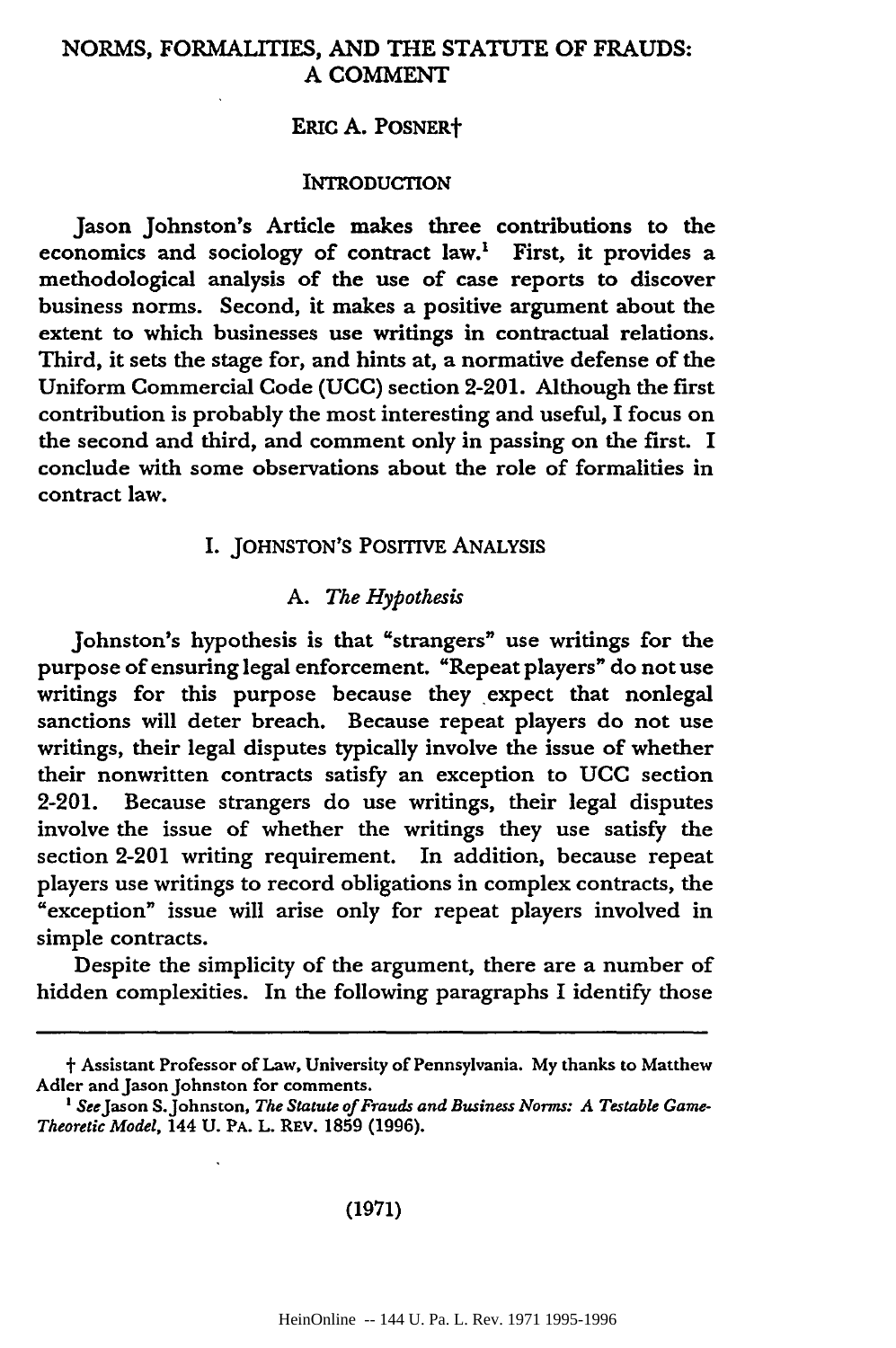## NORMS, FORMALITIES, **AND** THE **STATUTE** OF **FRAUDS: A COMMENT**

#### ERIC **A.** POSNERt

#### INTRODUCTION

Jason Johnston's Article makes three contributions to the economics and sociology of contract law.' First, it provides a methodological analysis of the use of case reports to discover business norms. Second, it makes a positive argument about the extent to which businesses use writings in contractual relations. Third, it sets the stage for, and hints at, a normative defense of the Uniform Commercial Code **(UCC)** section 2-201. Although the first contribution is probably the most interesting and useful, I focus on the second and third, and comment only in passing on the first. I conclude with some observations about the role of formalities in contract law.

## I. **JOHNSTON'S POSITIVE ANALYSIS**

#### *A. The Hypothesis*

Johnston's hypothesis is that "strangers" use writings for the purpose of ensuring legal enforcement. "Repeat players" do not use writings for this purpose because they expect that nonlegal sanctions will deter breach. Because repeat players do not use writings, their legal disputes typically involve the issue of whether their nonwritten contracts satisfy an exception to **UCC** section 2-201. Because strangers do use writings, their legal disputes involve the issue of whether the writings they use satisfy the section 2-201 writing requirement. In addition, because repeat players use writings to record obligations in complex contracts, the "exception" issue will arise only for repeat players involved in simple contracts.

Despite the simplicity of the argument, there are a number of hidden complexities. In the following paragraphs I identify those

#### (1971)

t Assistant Professor of Law, University of Pennsylvania. My thanks to Matthew Adler and Jason Johnston for comments.

**<sup>&#</sup>x27;** SeeJason S.Johnston, *The Statute of Frauds and Business Norms: A Testable Game-Theoretic Model,* 144 U. PA. L. REV. 1859 (1996).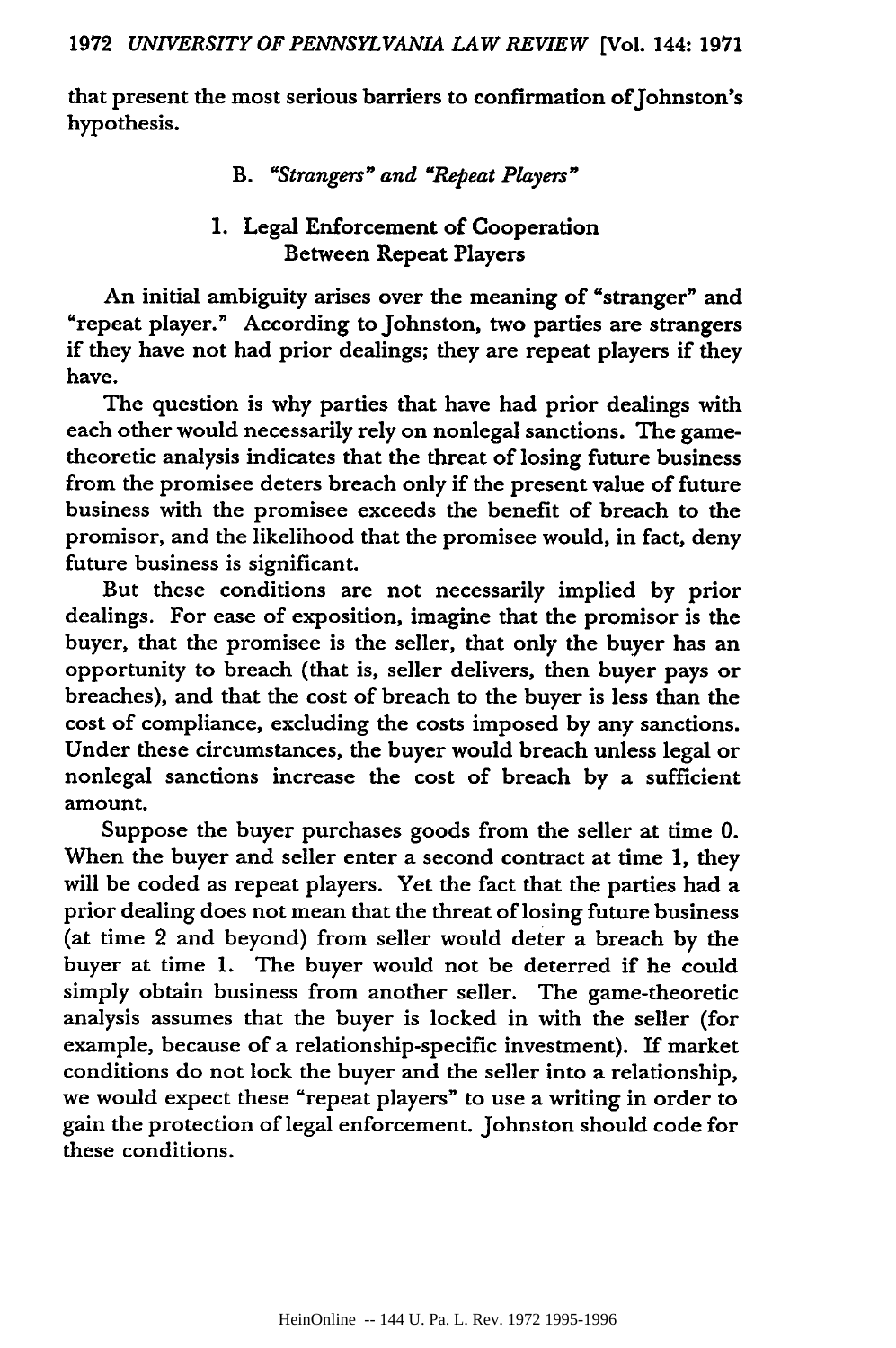that present the most serious barriers to confirmation of Johnston's hypothesis.

*B. "Strangers <sup>n</sup> " and "Repeat Players <sup>n</sup> "*

## 1. Legal Enforcement of Cooperation Between Repeat Players

An initial ambiguity arises over the meaning of "stranger" and "repeat player." According to Johnston, two parties are strangers if they have not had prior dealings; they are repeat players if they have.

The question is why parties that have had prior dealings with each other would necessarily rely on nonlegal sanctions. The gametheoretic analysis indicates that the threat of losing future business from the promisee deters breach only if the present value of future business with the promisee exceeds the benefit of breach to the promisor, and the likelihood that the promisee would, in fact, deny future business is significant.

But these conditions are not necessarily implied **by** prior dealings. For ease of exposition, imagine that the promisor is the buyer, that the promisee is the seller, that only the buyer has an opportunity to breach (that is, seller delivers, then buyer pays or breaches), and that the cost of breach to the buyer is less than the cost of compliance, excluding the costs imposed **by** any sanctions. Under these circumstances, the buyer would breach unless legal or nonlegal sanctions increase the cost of breach **by** a sufficient amount.

Suppose the buyer purchases goods from the seller at time **0.** When the buyer and seller enter a second contract at time 1, they will be coded as repeat players. Yet the fact that the parties had a prior dealing does not mean that the threat of losing future business (at time 2 and beyond) from seller would deter a breach by the buyer at time **1.** The buyer would not be deterred if he could simply obtain business from another seller. The game-theoretic analysis assumes that the buyer is locked in with the seller (for example, because of a relationship-specific investment). If market conditions do not lock the buyer and the seller into a relationship, we would expect these "repeat players" to use a writing in order to gain the protection of legal enforcement. Johnston should code for these conditions.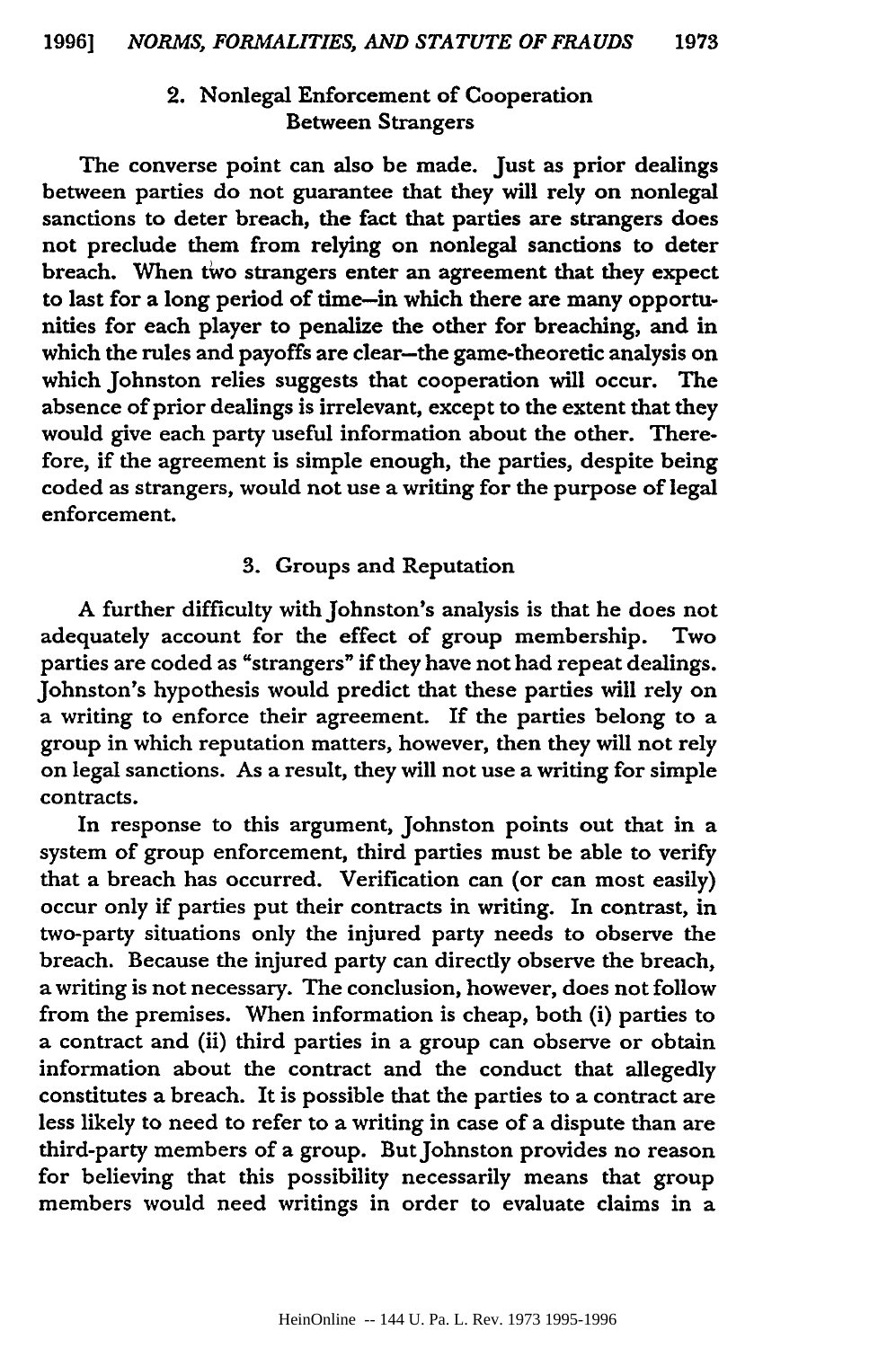# 2. Nonlegal Enforcement of Cooperation Between Strangers

The converse point can also be made. Just as prior dealings between parties do not guarantee that they will rely on nonlegal sanctions to deter breach, the fact that parties are strangers does not preclude them from relying on nonlegal sanctions to deter breach. When two strangers enter an agreement that they expect to last for a long period of time-in which there are many opportunities for each player to penalize the other for breaching, and in which the rules and payoffs are clear-the game-theoretic analysis on which Johnston relies suggests that cooperation will occur. The absence of prior dealings is irrelevant, except to the extent that they would give each party useful information about the other. Therefore, if the agreement is simple enough, the parties, despite being coded as strangers, would not use a writing for the purpose of legal enforcement.

#### **3.** Groups and Reputation

**A** further difficulty with Johnston's analysis is that he does not adequately account for the effect of group membership. Two parties are coded as "strangers" if they have not had repeat dealings. Johnston's hypothesis would predict that these parties will rely on a writing to enforce their agreement. If the parties belong to a group in which reputation matters, however, then they will not rely on legal sanctions. As a result, they will not use a writing for simple contracts.

In response to this argument, Johnston points out that in a system of group enforcement, third parties must be able to verify that a breach has occurred. Verification can (or can most easily) occur only if parties put their contracts in writing. In contrast, in two-party situations only the injured party needs to observe the breach. Because the injured party can directly observe the breach, a writing is not necessary. The conclusion, however, does not follow from the premises. When information is cheap, both (i) parties to a contract and (ii) third parties in a group can observe or obtain information about the contract and the conduct that allegedly constitutes a breach. It is possible that the parties to a contract are less likely to need to refer to a writing in case of a dispute than are third-party members of a group. But Johnston provides no reason for believing that this possibility necessarily means that group members would need writings in order to evaluate claims in a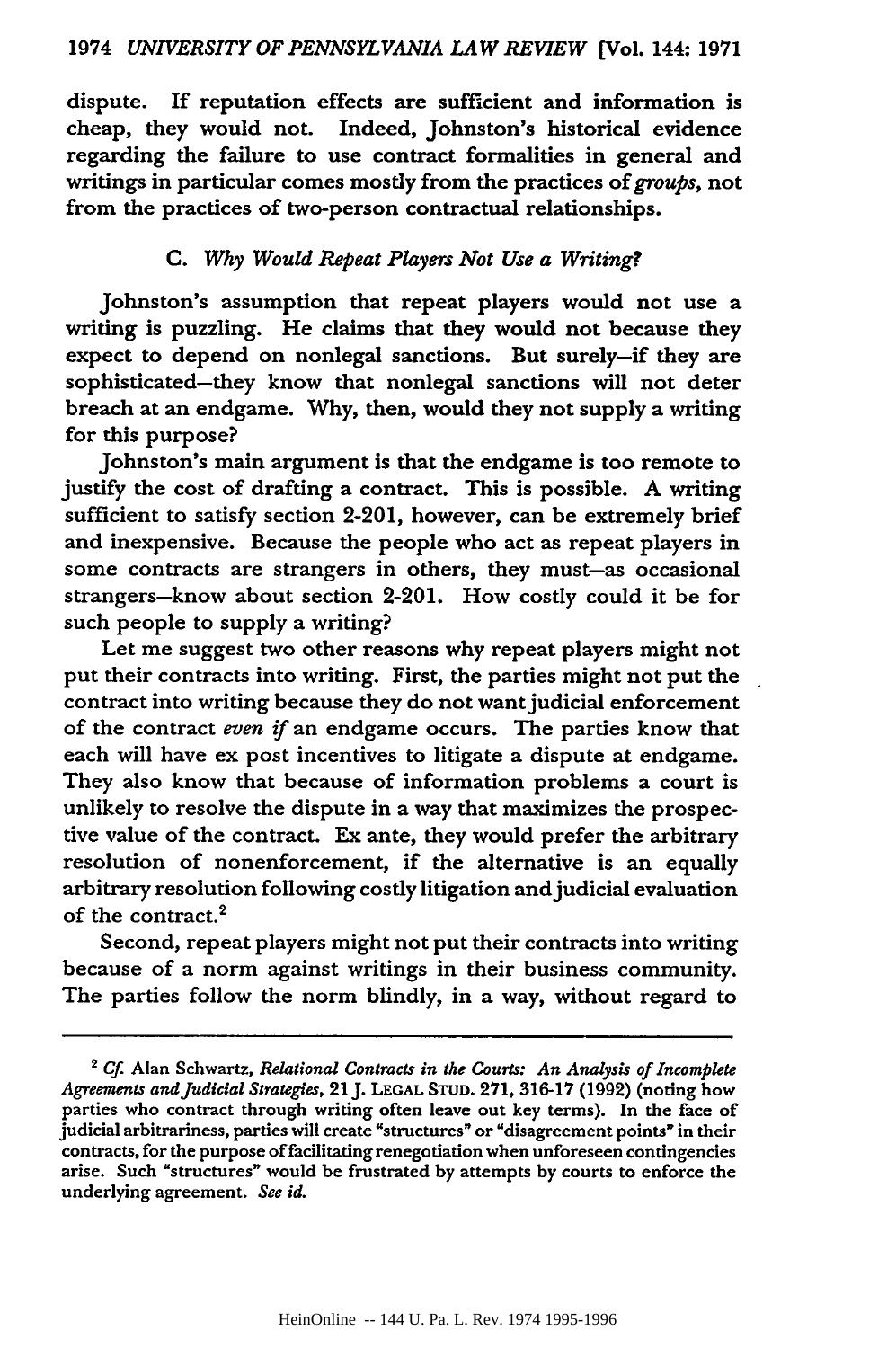dispute. **If** reputation effects are sufficient and information is cheap, they would not. Indeed, Johnston's historical evidence regarding the failure to use contract formalities in general and writings in particular comes mostly from the practices of *groups,* not from the practices of two-person contractual relationships.

## *C. Why Would Repeat Players Not Use a Writing?*

Johnston's assumption that repeat players would not use a writing is puzzling. He claims that they would not because they expect to depend on nonlegal sanctions. But surely-if they are sophisticated-they know that nonlegal sanctions will not deter breach at an endgame. Why, then, would they not supply a writing for this purpose?

Johnston's main argument is that the endgame is too remote to justify the cost of drafting a contract. This is possible. A writing sufficient to satisfy section 2-201, however, can be extremely brief and inexpensive. Because the people who act as repeat players in some contracts are strangers in others, they must-as occasional strangers-know about section 2-201. How costly could it be for such people to supply a writing?

Let me suggest two other reasons why repeat players might not put their contracts into writing. First, the parties might not put the contract into writing because they do not want judicial enforcement of the contract *even if* an endgame occurs. The parties know that each will have ex post incentives to litigate a dispute at endgame. They also know that because of information problems a court is unlikely to resolve the dispute in a way that maximizes the prospective value of the contract. Ex ante, they would prefer the arbitrary resolution of nonenforcement, if the alternative is an equally arbitrary resolution following costly litigation and judicial evaluation of the contract.<sup>2</sup>

Second, repeat players might not put their contracts into writing because of a norm against writings in their business community. The parties follow the norm blindly, in a way, without regard to

**<sup>2</sup>***Cf* Alan Schwartz, *Relational Contracts in the Courts: An Analysis of Incomplete Agreements and Judicial Strategies,* **21J. LEGAL STUD. 271, 316-17** (1992) (noting how parties who contract through writing often leave out **key** terms). In the face of judicial arbitrariness, parties will create "structures" or "disagreement points" in their contracts, for the purpose of facilitating renegotiation when unforeseen contingencies arise. Such "structures" would be frustrated **by** attempts **by** courts to enforce the underlying agreement. *See id.*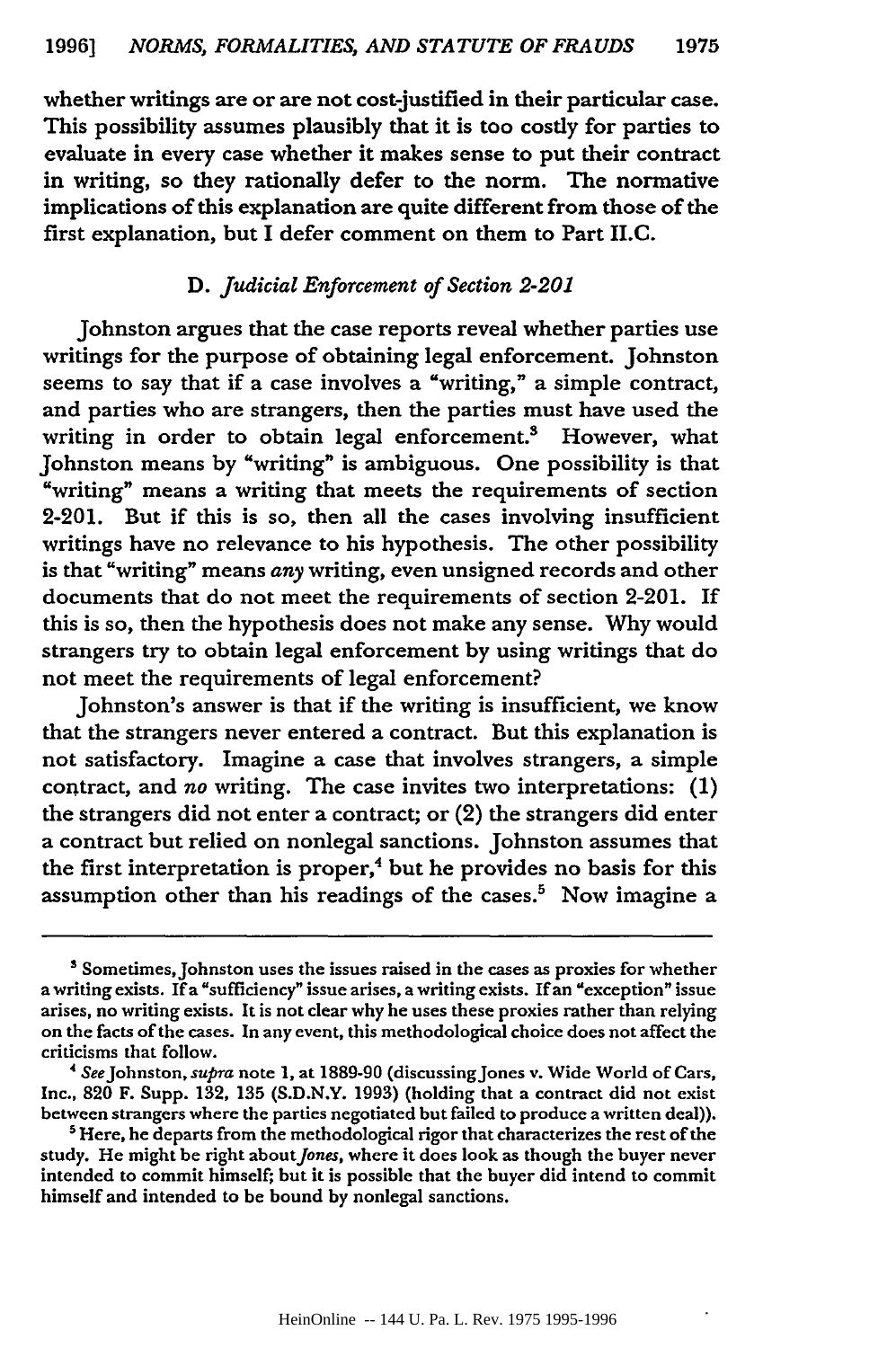whether writings are or are not cost-justified in their particular case. This possibility assumes plausibly that it is too costly for parties to evaluate in every case whether it makes sense to put their contract in writing, so they rationally defer to the norm. The normative implications of this explanation are quite different from those of the first explanation, but I defer comment on them to Part II.C.

### **D.** *Judicial Enforcement of Section 2-201*

Johnston argues that the case reports reveal whether parties use writings for the purpose of obtaining legal enforcement. Johnston seems to say that if a case involves a "writing," a simple contract, and parties who are strangers, then the parties must have used the writing in order to obtain legal enforcement.<sup>3</sup> However, what Johnston means by "writing" is ambiguous. One possibility is that "writing" means a writing that meets the requirements of section 2-201. But if this is so, then all the cases involving insufficient writings have no relevance to his hypothesis. The other possibility is that "writing" means *any* writing, even unsigned records and other documents that do not meet the requirements of section 2-201. If this is so, then the hypothesis does not make any sense. Why would strangers try to obtain legal enforcement by using writings that do not meet the requirements of legal enforcement?

Johnston's answer is that if the writing is insufficient, we know that the strangers never entered a contract. But this explanation is not satisfactory. Imagine a case that involves strangers, a simple contract, and *no* writing. The case invites two interpretations: (1) the strangers did not enter a contract; or (2) the strangers did enter a contract but relied on nonlegal sanctions. Johnston assumes that the first interpretation is proper,<sup>4</sup> but he provides no basis for this assumption other than his readings of the cases.<sup>5</sup> Now imagine a

<sup>&</sup>lt;sup>3</sup> Sometimes, Johnston uses the issues raised in the cases as proxies for whether a writing exists. If a "sufficiency" issue arises, a writing exists. If an "exception" issue arises, no writing exists. It is not clear why he uses these proxies rather than relying on the facts of the cases. In any event, this methodological choice does not affect the criticisms that follow.

**<sup>&</sup>quot;** SeeJohnston, *supra* note 1, at 1889-90 (discussingJones v. Wide World of Cars, Inc., **820** F. Supp. 132, 135 **(S.D.N.Y.** 1993) (holding that a contract did not exist between strangers where the parties negotiated but failed to produce a written deal)).

<sup>&</sup>lt;sup>5</sup> Here, he departs from the methodological rigor that characterizes the rest of the study. He might be right about Jones, where it does look as though the buyer never intended to commit himself; but it is possible that the buyer did intend to commit himself and intended to be bound by nonlegal sanctions.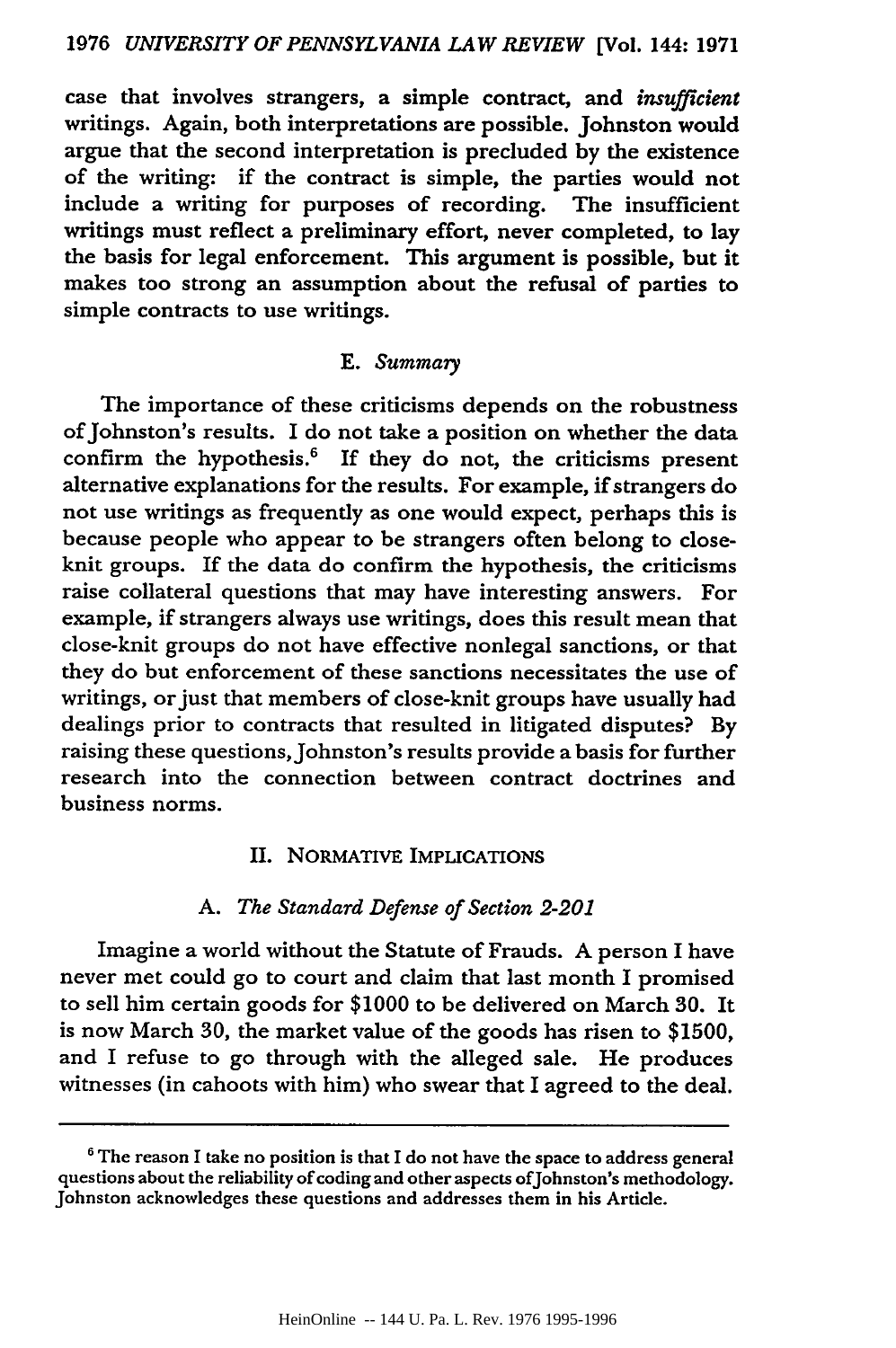case that involves strangers, a simple contract, and *insufficient* writings. Again, both interpretations are possible. Johnston would argue that the second interpretation is precluded **by** the existence of the writing: if the contract is simple, the parties would not include a writing for purposes of recording. The insufficient writings must reflect a preliminary effort, never completed, to lay the basis for legal enforcement. This argument is possible, but it makes too strong an assumption about the refusal of parties to simple contracts to use writings.

#### E. *Summary*

The importance of these criticisms depends on the robustness of Johnston's results. I do not take a position on whether the data confirm the hypothesis. $6$  If they do not, the criticisms present alternative explanations for the results. For example, if strangers do not use writings as frequently as one would expect, perhaps this is because people who appear to be strangers often belong to closeknit groups. If the data do confirm the hypothesis, the criticisms raise collateral questions that may have interesting answers. For example, if strangers always use writings, does this result mean that close-knit groups do not have effective nonlegal sanctions, or that they do but enforcement of these sanctions necessitates the use of writings, or just that members of close-knit groups have usually had dealings prior to contracts that resulted in litigated disputes? By raising these questions, Johnston's results provide a basis for further research into the connection between contract doctrines and business norms.

### II. NORMATIVE IMPLICATIONS

#### *A. The Standard Defense of Section 2-201*

Imagine a world without the Statute of Frauds. A person I have never met could go to court and claim that last month I promised to sell him certain goods for \$1000 to be delivered on March **30.** It is now March 30, the market value of the goods has risen to \$1500, and I refuse to go through with the alleged sale. He produces witnesses (in cahoots with him) who swear that I agreed to the deal.

**<sup>&#</sup>x27;** The reason I take no position is that I do not have the space to address general questions about the reliability of coding and other aspects ofJohnston's methodology. Johnston acknowledges these questions and addresses them in his Article.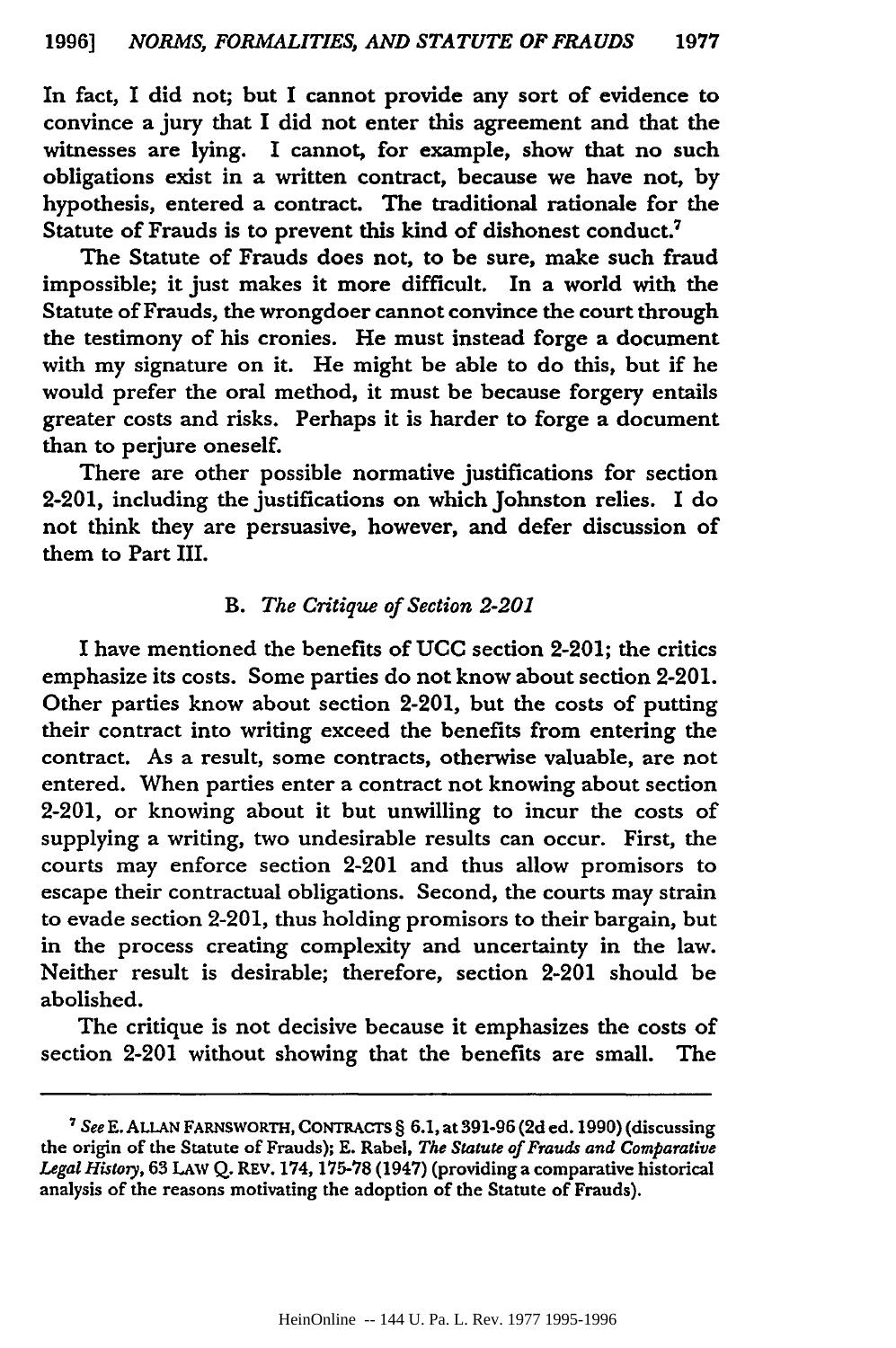In fact, I did not; but I cannot provide any sort of evidence to convince a jury that I did not enter this agreement and that the witnesses are lying. I cannot, for example, show that no such obligations exist in a written contract, because we have not, **by** hypothesis, entered a contract. The traditional rationale for the Statute of Frauds is to prevent this kind of dishonest conduct.7

The Statute of Frauds does not, to be sure, make such fraud impossible; it just makes it more difficult. In a world with the Statute of Frauds, the wrongdoer cannot convince the court through the testimony of his cronies. He must instead forge a document with my signature on it. He might be able to do this, but if he would prefer the oral method, it must be because forgery entails greater costs and risks. Perhaps it is harder to forge a document than to perjure oneself.

There are other possible normative justifications for section 2-201, including the justifications on which Johnston relies. I do not think they are persuasive, however, and defer discussion of them to Part III.

#### *B. The Critique of Section 2-201*

**I** have mentioned the benefits of **UCC** section 2-201; the critics emphasize its costs. Some parties do not know about section 2-201. Other parties know about section 2-201, but the costs of putting their contract into writing exceed the benefits from entering the contract. As a result, some contracts, otherwise valuable, are not entered. When parties enter a contract not knowing about section 2-201, or knowing about it but unwilling to incur the costs of supplying a writing, two undesirable results can occur. First, the courts may enforce section 2-201 and thus allow promisors to escape their contractual obligations. Second, the courts may strain to evade section 2-201, thus holding promisors to their bargain, but in the process creating complexity and uncertainty in the law. Neither result is desirable; therefore, section 2-201 should be abolished.

The critique is not decisive because it emphasizes the costs of section 2-201 without showing that the benefits are small. The

**<sup>7</sup>***See* E. ALLAN FARNSWORTH, **CoNTRACTs** § **6.1,** at 391-96 **(2d ed.** 1990) (discussing the origin of the Statute of Frauds); **E.** Rabel, *The Statute of Frauds and Comparative Legal Histoiy,* **63** LAw **Q.** REV. 174, **175-78** (1947) (providing a comparative historical analysis of the reasons motivating the adoption of the Statute of Frauds).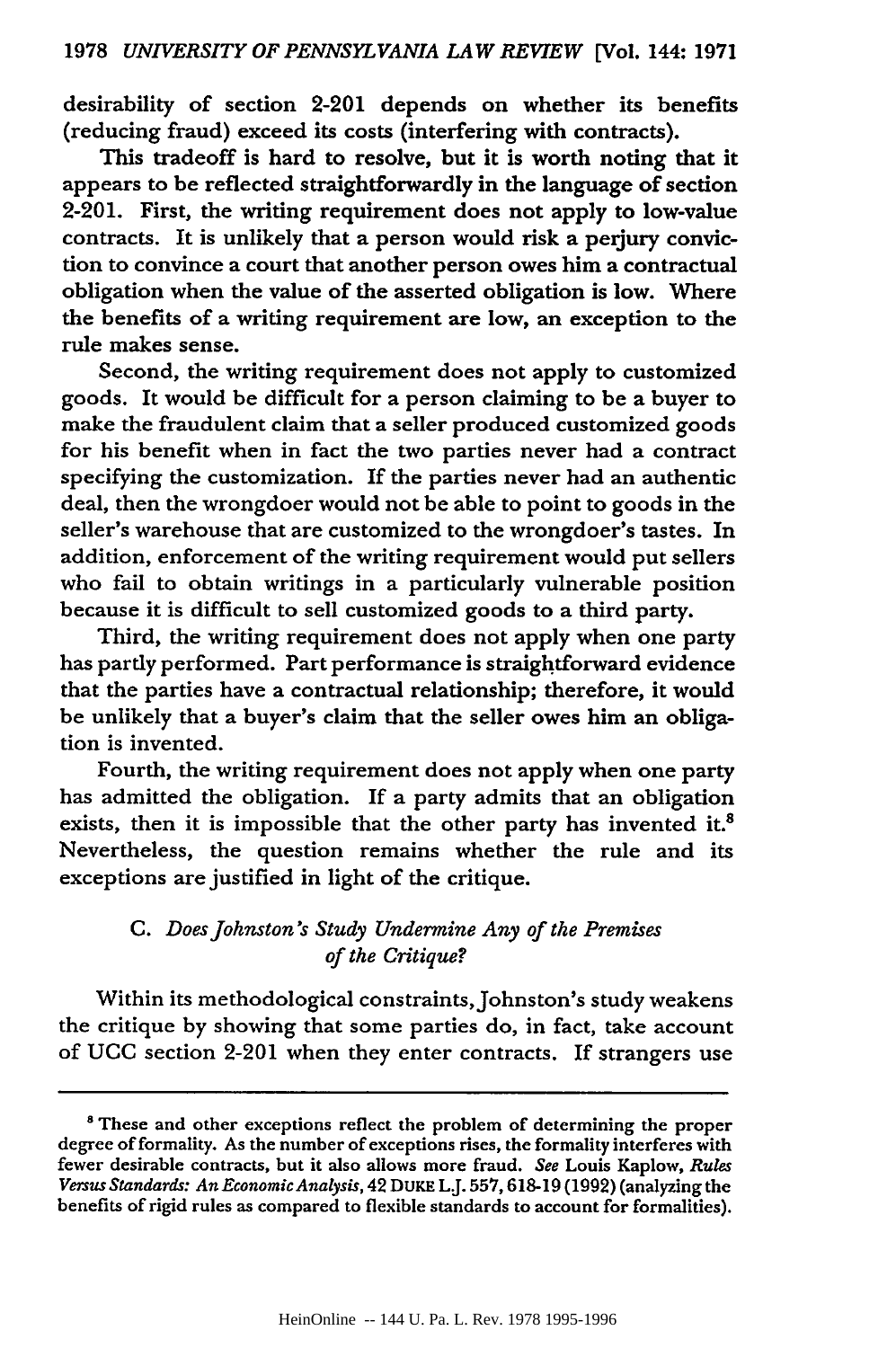desirability of section 2-201 depends on whether its benefits (reducing fraud) exceed its costs (interfering with contracts).

This tradeoff is hard to resolve, but it is worth noting that it appears to be reflected straightforwardly in the language of section 2-201. First, the writing requirement does not apply to low-value contracts. It is unlikely that a person would risk a perjury convic**tion** to convince a court that another person owes him a contractual obligation when the value of the asserted obligation is low. Where the benefits of a writing requirement are low, an exception to the rule makes sense.

Second, the writing requirement does not apply to customized goods. It would be difficult for a person claiming to be a buyer to make the fraudulent claim that a seller produced customized goods for his benefit when in fact the two parties never had a contract specifying the customization. If the parties never had an authentic deal, then the wrongdoer would not be able to point to goods in the seller's warehouse that are customized to the wrongdoer's tastes. In addition, enforcement of the writing requirement would put sellers who fail to obtain writings in a particularly vulnerable position because it is difficult to sell customized goods to a third party.

Third, the writing requirement does not apply when one party has partly performed. Part performance is straightforward evidence that the parties have a contractual relationship; therefore, it would be unlikely that a buyer's claim that the seller owes him an obligation is invented.

Fourth, the writing requirement does not apply when one party has admitted the obligation. If a party admits that an obligation exists, then it is impossible that the other party has invented it. $8$ Nevertheless, the question remains whether the rule and its exceptions are justified in light of the critique.

## *C. Does Johnston's Study Undermine Any of the Premises of the Critique?*

Within its methodological constraints, Johnston's study weakens the critique by showing that some parties do, in fact, take account of **UCC** section 2-201 when they enter contracts. If strangers use

<sup>&</sup>lt;sup>8</sup> These and other exceptions reflect the problem of determining the proper degree of formality. As the number of exceptions rises, the formality interferes with fewer desirable contracts, but it also allows more fraud. *See* Louis Kaplow, *Rules Versus Standards: An EconomicAnalysis,* 42 DuKE L.J. 557,618-19 (1992) (analyzing the benefits of rigid rules as compared to flexible standards to account for formalities).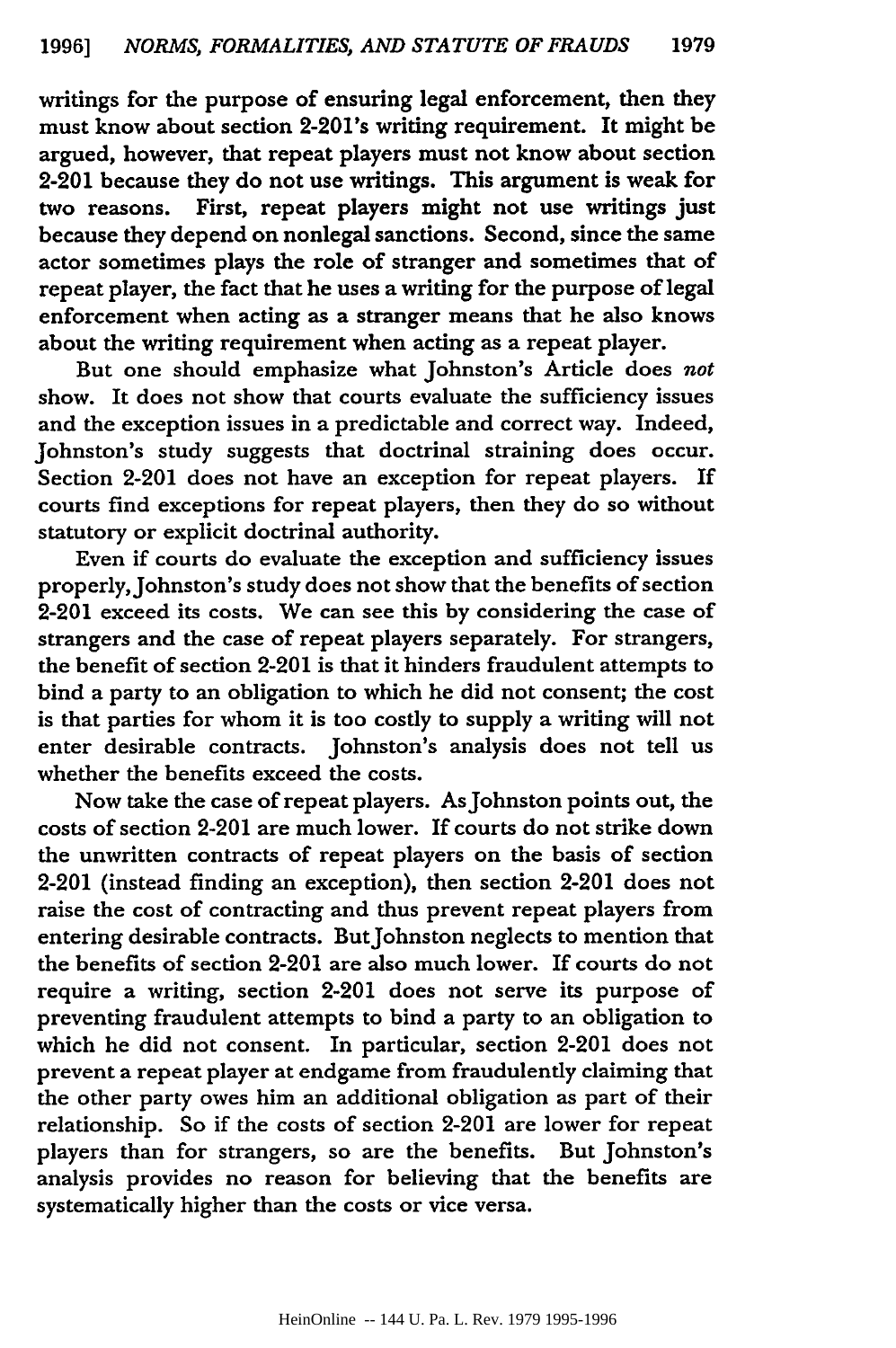writings for the purpose of ensuring legal enforcement, then they must know about section 2-201's writing requirement. It might be argued, however, that repeat players must not know about section 2-201 because they do not use writings. This argument is weak for two reasons. First, repeat players might not use writings just First, repeat players might not use writings just because they depend on nonlegal sanctions. Second, since the same actor sometimes plays the role of stranger and sometimes that of repeat player, the fact that he uses a writing for the purpose of legal enforcement when acting as a stranger means that he also knows about the writing requirement when acting as a repeat player.

But one should emphasize what Johnston's Article does *not* show. It does not show that courts evaluate the sufficiency issues and the exception issues in a predictable and correct way. Indeed, Johnston's study suggests that doctrinal straining does occur. Section 2-201 does not have an exception for repeat players. courts find exceptions for repeat players, then they do so without statutory or explicit doctrinal authority.

Even if courts do evaluate the exception and sufficiency issues properly, Johnston's study does not show that the benefits of section 2-201 exceed its costs. We can see this **by** considering the case of strangers and the case of repeat players separately. For strangers, the benefit of section 2-201 is that it hinders fraudulent attempts to bind a party to an obligation to which he did not consent; the cost is that parties for whom it is too costly to supply a writing will not enter desirable contracts. Johnston's analysis does not tell us whether the benefits exceed the costs.

Now take the case of repeat players. AsJohnston points out, the costs of section 2-201 are much lower. If courts do not strike down the unwritten contracts of repeat players on the basis of section 2-201 (instead finding an exception), then section 2-201 does not raise the cost of contracting and thus prevent repeat players from entering desirable contracts. ButJohnston neglects to mention that the benefits of section 2-201 are also much lower. If courts do not require a writing, section 2-201 does not serve its purpose of preventing fraudulent attempts to bind a party to an obligation to which he did not consent. In particular, section 2-201 does not prevent a repeat player at endgame from fraudulently claiming that the other party owes him an additional obligation as part of their relationship. So if the costs of section 2-201 are lower for repeat players than for strangers, so are the benefits. But Johnston's analysis provides no reason for believing that the benefits are systematically higher than the costs or vice versa.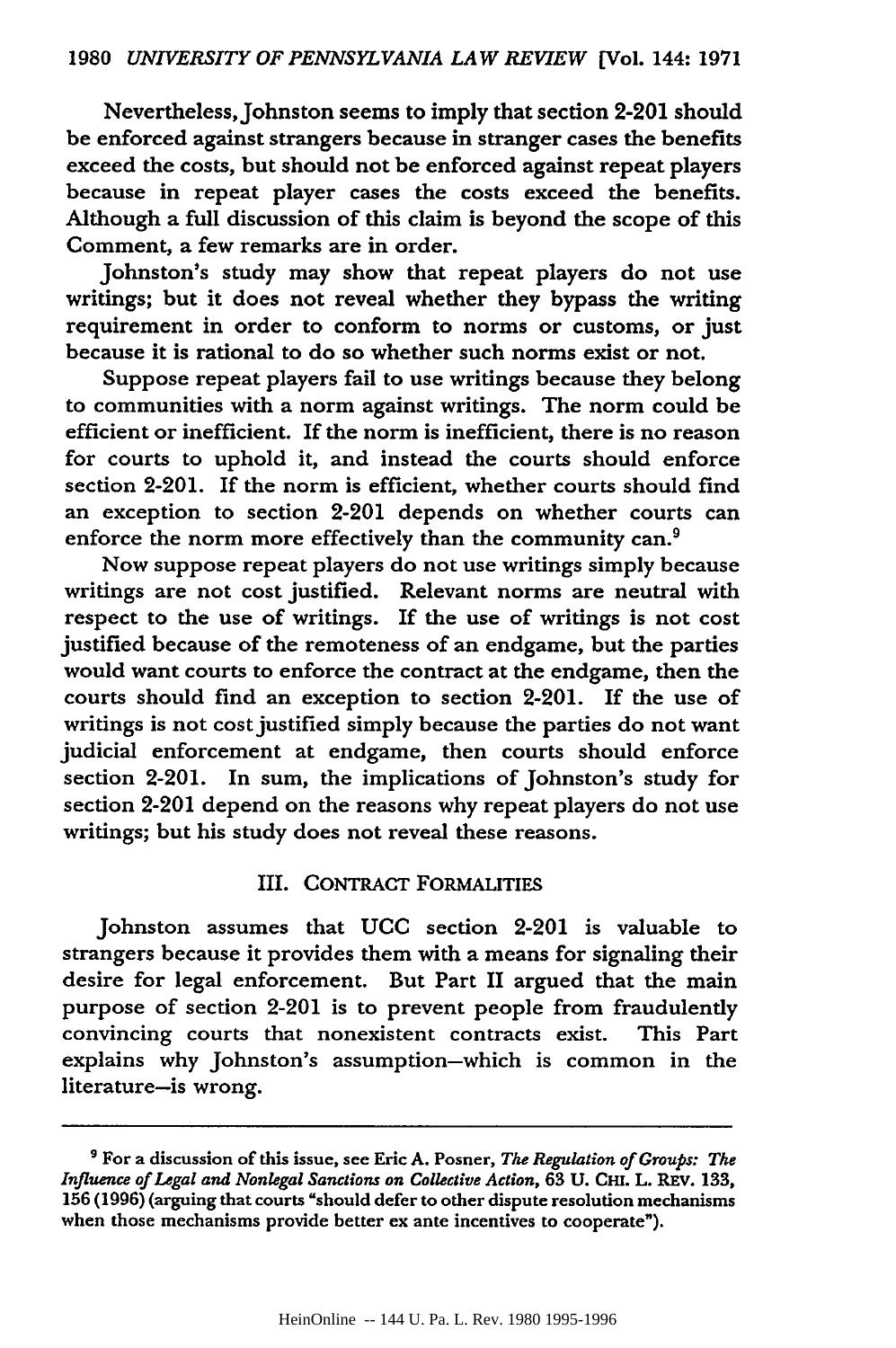Nevertheless, Johnston seems to imply that section 2-201 should be enforced against strangers because in stranger cases the benefits exceed the costs, but should not be enforced against repeat players because in repeat player cases the costs exceed the benefits. Although a full discussion of this claim is beyond the scope of this Comment, a few remarks are in order.

Johnston's study may show that repeat players do not use writings; but it does not reveal whether they bypass the writing requirement in order to conform to norms or customs, or just because it is rational to do so whether such norms exist or not.

Suppose repeat players fail to use writings because they belong to communities with a norm against writings. The norm could be efficient or inefficient. If the norm is inefficient, there is no reason for courts to uphold it, and instead the courts should enforce section 2-201. If the norm is efficient, whether courts should find an exception to section 2-201 depends on whether courts can enforce the norm more effectively than the community can.<sup>9</sup>

Now suppose repeat players do not use writings simply because writings are not cost justified. Relevant norms are neutral with respect to the use of writings. If the use of writings is not cost justified because of the remoteness of an endgame, but the parties would want courts to enforce the contract at the endgame, then the courts should find an exception to section 2-201. If the use of writings is not cost justified simply because the parties do not want judicial enforcement at endgame, then courts should enforce section 2-201. In sum, the implications of Johnston's study for section 2-201 depend on the reasons why repeat players do not use writings; but his study does not reveal these reasons.

#### III. CoNTRACT FORMALITIES

Johnston assumes that **UCC** section 2-201 is valuable to strangers because it provides them with a means for signaling their desire for legal enforcement. But Part II argued that the main purpose of section 2-201 is to prevent people from fraudulently convincing courts that nonexistent contracts exist. This Part explains why Johnston's assumption-which is common in the literature-is wrong.

**<sup>&#</sup>x27;** For a discussion of this issue, see Eric **A.** Posner, *The Regulation of Groups: The Influence of Legal and Nonlegal Sanctions on Collective Action,* **63 U. CHi.** L. **REv.** 133, **156 (1996)** (arguing that courts "should defer to other dispute resolution mechanisms when those mechanisms provide better ex ante incentives to cooperate").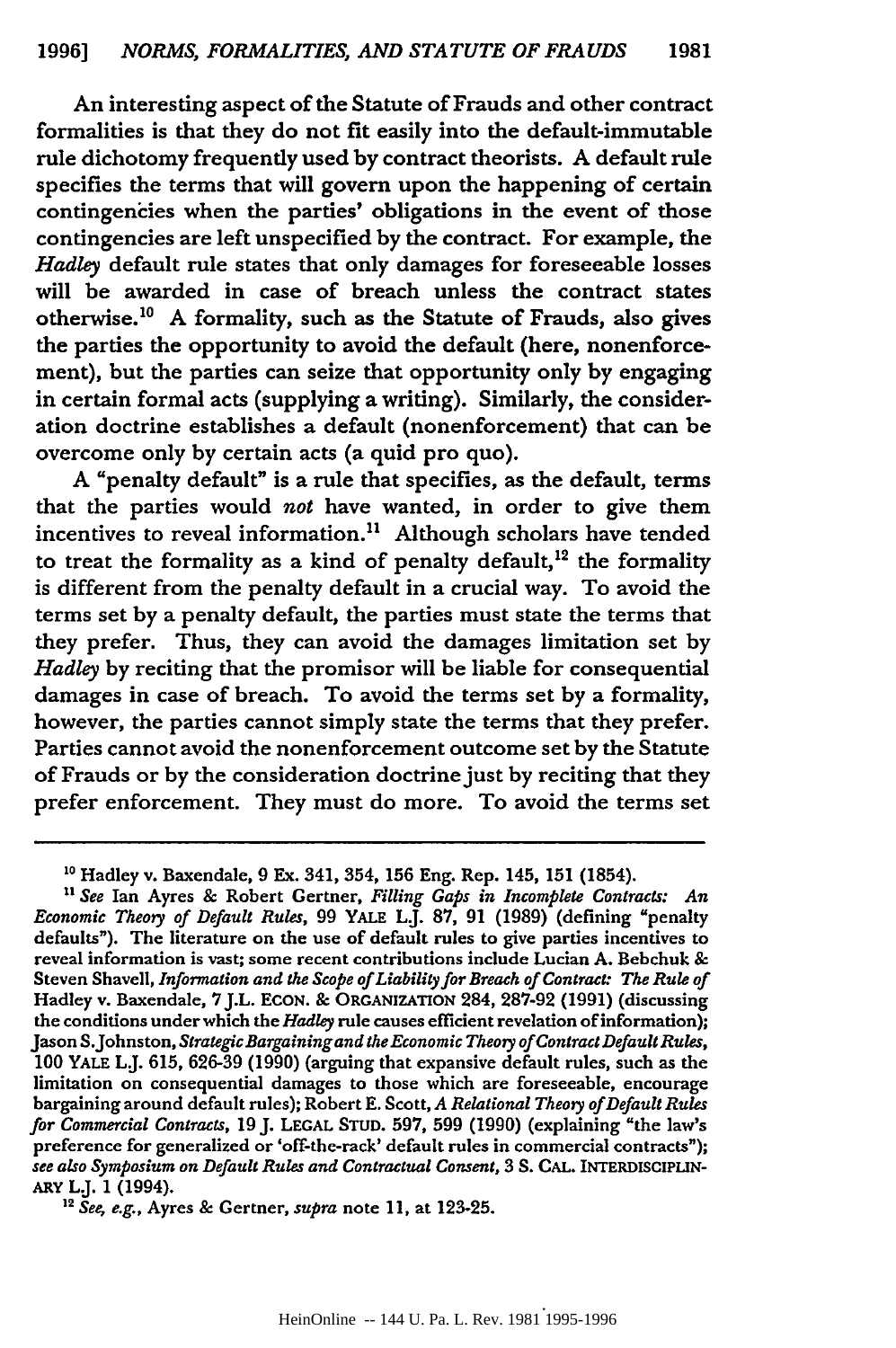An interesting aspect of the Statute of Frauds and other contract formalities is that they do not fit easily into the default-immutable rule dichotomy frequently used **by** contract theorists. A default rule specifies the terms that will govern upon the happening of certain contingencies when the parties' obligations in the event of those contingencies are left unspecified **by** the contract. For example, the *Hadley* default rule states that only damages for foreseeable losses will be awarded in case of breach unless the contract states otherwise.<sup>10</sup> A formality, such as the Statute of Frauds, also gives the parties the opportunity to avoid the default (here, nonenforcement), but the parties can seize that opportunity only **by** engaging in certain formal acts (supplying a writing). Similarly, the consideration doctrine establishes a default (nonenforcement) that can be overcome only **by** certain acts (a quid pro quo).

A "penalty default" is a rule that specifies, as the default, terms that the parties would *not* have wanted, in order to give them incentives to reveal information.<sup>11</sup> Although scholars have tended to treat the formality as a kind of penalty default,<sup>12</sup> the formality is different from the penalty default in a crucial way. To avoid the terms set **by** a penalty default, the parties must state the terms that they prefer. Thus, they can avoid the damages limitation set **by** *Hadley* **by** reciting that the promisor will be liable for consequential damages in case of breach. To avoid the terms set **by** a formality, however, the parties cannot simply state the terms that they prefer. Parties cannot avoid the nonenforcement outcome set **by** the Statute of Frauds or **by** the consideration doctrine just **by** reciting that they prefer enforcement. They must do more. To avoid the terms set

**<sup>10</sup>** Hadley v. Baxendale, **9** Ex. 341, 354, **156** Eng. Rep. 145, **151** (1854).

*U See* Ian Ayres **&** Robert Gertner, *Filling Gaps in Incomplete Contracts: An Economic Theoy of Default Rules,* **99** YALE L.J. **87, 91 (1989)** (defining "penalty defaults"). The literature on the use of default rules to give parties incentives to reveal information is vast; some recent contributions include Lucian **A.** Bebchuk **&** Steven Shavell, *Information and the Scope of Liability for Breach of Contract: The Rule of* Hadley v. Baxendale, **7J.L. ECON. &** ORGANIZATION 284, **287-92 (1991)** (discussing the conditions under which the *Hadley* rule causes efficient revelation of information); Jason S.Johnston, *Strategic Bargainingand the Economic Theory of Contract Default Rules,* **100** YALE LJ. **615, 626-39 (1990)** (arguing that expansive default rules, such as the limitation on consequential damages to those which are foreseeable, encourage bargaining around default rules); Robert **E.** Scott, *A Relational Theoy of Default Rules for Commercial Contracts,* **19 J.** LEGAL **STUD. 597, 599 (1990)** (explaining "the law's preference for generalized or 'off-the-rack' default rules in commercial contracts"); *see also Symposium on Default Rules and Contractual Consent,* **3 S. CAL.** INTERDISCIPLIN-**ARY** L.J. **1** (1994). *"2 See, e.g.,* Ayres **&** Gertner, *supra* note **11,** at **123-25.**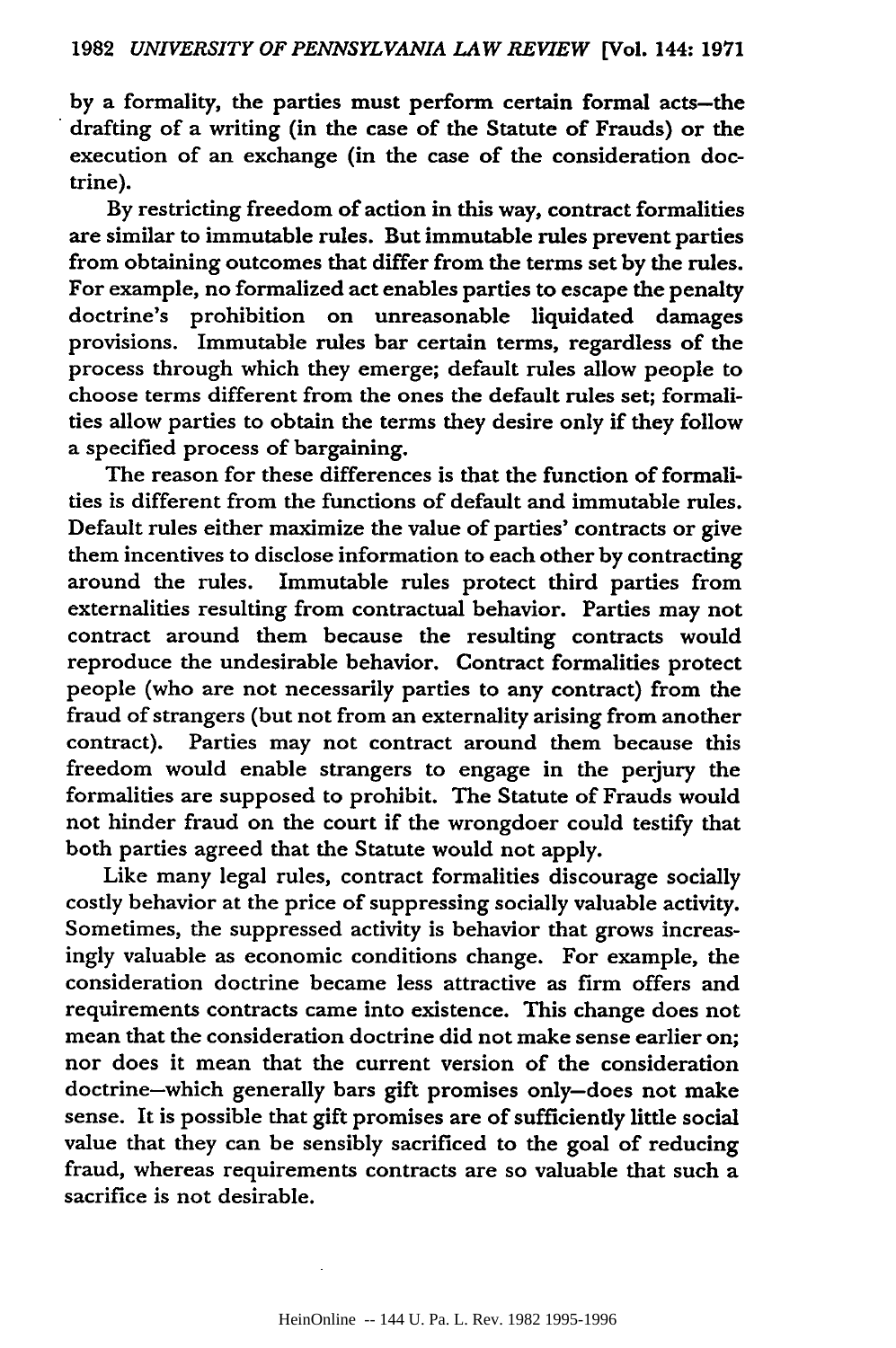**by** a formality, the parties must perform certain formal acts-the drafting of a writing (in the case of the Statute of Frauds) or the execution of an exchange (in the case of the consideration doctrine).

By restricting freedom of action in this way, contract formalities are similar to immutable rules. But immutable rules prevent parties from obtaining outcomes that differ from the terms set **by** the rules. For example, no formalized act enables parties to escape the penalty doctrine's prohibition on unreasonable liquidated damages provisions. Immutable rules bar certain terms, regardless of the process through which they emerge; default rules allow people to choose terms different from the ones the default rules set; formalities allow parties to obtain the terms they desire only if they follow a specified process of bargaining.

The reason for these differences is that the function of formali**ties** is different from the functions of default and immutable rules. Default rules either maximize the value of parties' contracts or give them incentives to disclose information to each other **by** contracting around the rules. Immutable rules protect third parties from externalities resulting from contractual behavior. Parties may not contract around them because the resulting contracts would reproduce the undesirable behavior. Contract formalities protect people (who are not necessarily parties to any contract) from the fraud of strangers (but not from an externality arising from another contract). Parties may not contract around them because this freedom would enable strangers to engage in the perjury the formalities are supposed to prohibit. The Statute of Frauds would not hinder fraud on the court if the wrongdoer could testify that both parties agreed that the Statute would not apply.

Like many legal rules, contract formalities discourage socially costly behavior at the price of suppressing socially valuable activity. Sometimes, the suppressed activity is behavior that grows increasingly valuable as economic conditions change. For example, the consideration doctrine became less attractive as firm offers and requirements contracts came into existence. This change does not mean that the consideration doctrine did not make sense earlier on; nor does it mean that the current version of the consideration doctrine-which generally bars gift promises only-does not make sense. It is possible that gift promises are of sufficiently little social value that they can be sensibly sacrificed to the goal of reducing fraud, whereas requirements contracts are so valuable that such a sacrifice is not desirable.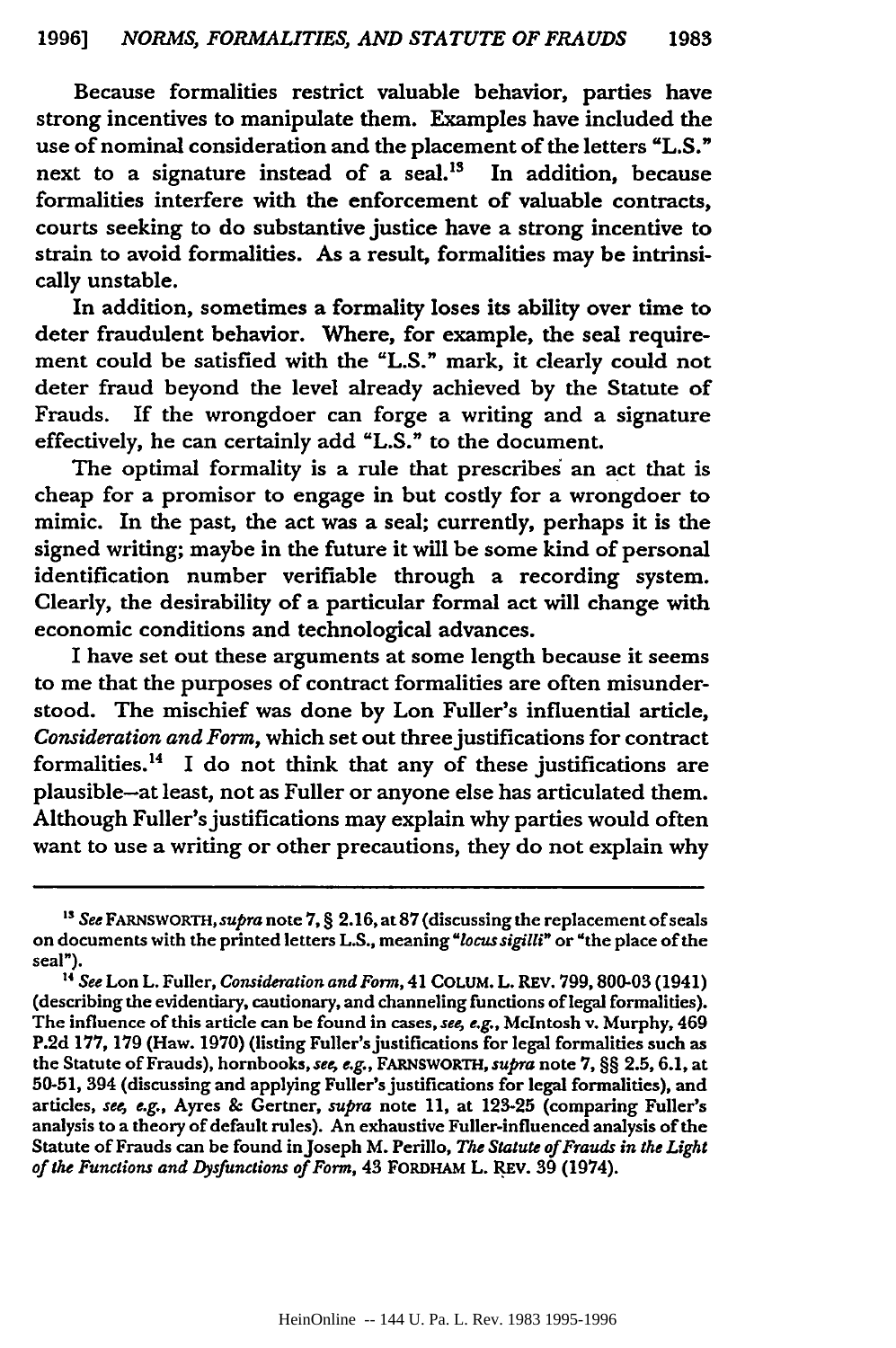Because formalities restrict valuable behavior, parties have strong incentives to manipulate them. Examples have included the use of nominal consideration and the placement of the letters "L.S." next to a signature instead of a seal.<sup>13</sup> In addition, because formalities interfere with the enforcement of valuable contracts, courts seeking to do substantive justice have a strong incentive to strain to avoid formalities. As a result, formalities may be intrinsically unstable.

In addition, sometimes a formality loses its ability over time to deter fraudulent behavior. Where, for example, the seal requirement could be satisfied with the **"L.S."** mark, it clearly could not deter fraud beyond the level already achieved **by** the Statute of Frauds. If the wrongdoer can forge a writing and a signature effectively, he can certainly add **"L.S."** to the document.

The optimal formality is a rule that prescribes' an act that is cheap for a promisor to engage in but costly for a wrongdoer to mimic. In the past, the act was a seal; currently, perhaps it is the signed writing; maybe in the future it will be some kind of personal identification number verifiable through a recording system. Clearly, the desirability of a particular formal act will change with economic conditions and technological advances.

I have set out these arguments at some length because it seems to me that the purposes of contract formalities are often misunderstood. The mischief was done **by** Lon Fuller's influential article, *Consideration and Form,* which set out threejustifications for contract formalities.<sup>14</sup> I do not think that any of these justifications are plausible-at least, not as Fuller or anyone else has articulated them. Although Fuller's justifications may explain why parties would often want to use a writing or other precautions, they do not explain why

*<sup>&#</sup>x27;3 See* **FARNSWORTH,** supra note **7,** § **2.16,** at **87** (discussing the replacement of seals on documents with the printed letters **L.S.,** meaning *"locus sigilli"* or "the place of the seal").

**t4** *See* **Lon** L. Fuller, *Consideration and Form,* 41 **COLUM.** L. REV. **799, 800-03** (1941) (describing the evidentiary, cautionary, and channeling functions of legal formalities). The influence of this article can be found in cases, *see, e.g.,* McIntosh v. Murphy, 469 **P.2d** 177, **179** (Haw. **1970)** (listing Fuller's justifications for legal formalities such as the Statute of Frauds), hornbooks, *see, e.g.,* FARNSWORTH, *supra* note 7, §§ **2.5,** 6.1, at **50-51,** 394 (discussing and applying Fuller's justifications for legal formalities), and articles, *see, e.g.,* Ayres & Gertner, *supra* note 11, at **123-25** (comparing Fuller's analysis to a theory of default rules). An exhaustive Fuller-influenced analysis of the Statute of Frauds can be found in Joseph M. Perillo, *The Statute of Frauds in the Light of the Functions and Dysfunctions of Form,* 43 FORDHAM L. **REV. 39** (1974).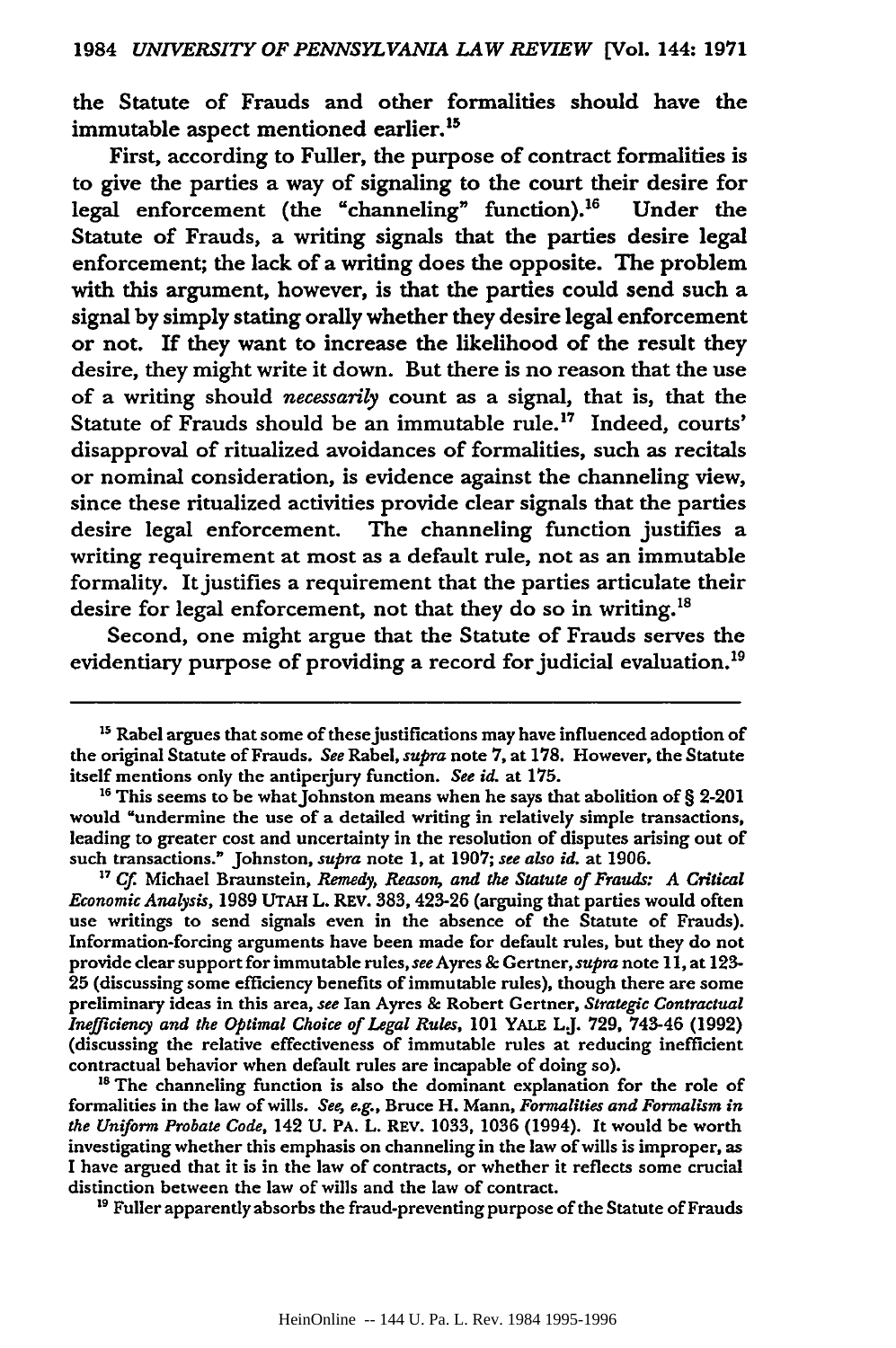the Statute of Frauds and other formalities should have the immutable aspect mentioned earlier.<sup>15</sup>

First, according to Fuller, the purpose of contract formalities is to give the parties a way of signaling to the court their desire for legal enforcement (the "channeling" function).<sup>16</sup> Under the Statute of Frauds, a writing signals that the parties desire legal enforcement; the lack of a writing does the opposite. The problem with this argument, however, is that the parties could send such a signal **by** simply stating orally whether they desire legal enforcement or not. **If** they want to increase the likelihood of the result they desire, they might write it down. But there is no reason that the use of a writing should *necessarily* count as a signal, that is, that the Statute of Frauds should be an immutable rule.<sup>17</sup> Indeed, courts' disapproval of ritualized avoidances of formalities, such as recitals or nominal consideration, is evidence against the channeling view, since these ritualized activities provide clear signals that the parties desire legal enforcement. The channeling function justifies a writing requirement at most as a default rule, not as an immutable formality. It justifies a requirement that the parties articulate their desire for legal enforcement, not that they do so in writing.<sup>18</sup>

Second, one might argue that the Statute of Frauds serves the evidentiary purpose of providing a record for judicial evaluation.'9

*" Cf* Michael Braunstein, *Remedy, Reason, and the Statute of Frauds: A Critical Economic Analysis,* **1989 UTAH** L. REV. 383, 423-26 (arguing that parties would often use writings to send signals even in the absence of the Statute of Frauds). Information-forcing arguments have been made for default rules, but they do not provide clear support for immutable rules, *see* Ayres **&** Gertner, supra note **11,** at 123- **25** (discussing some efficiency benefits of immutable rules), though there are some preliminary ideas in this area, *see* Ian Ayres & Robert Gertner, *Strategic Contractual Inefficiency and the Optimal Choice of Legal Rules,* **101** YALE L.J. **729,** 743-46 **(1992)** (discussing the relative effectiveness of immutable rules at reducing inefficient contractual behavior when default rules are incapable of doing so).

<sup>18</sup> The channeling function is also the dominant explanation for the role of formalities in the law of wills. *See e.g.,* Bruce H. Mann, *Formalities and Formalism in the Uniform Probate Code,* 142 **U.** PA. L. REV. **1033, 1036** (1994). It would be worth investigating whether this emphasis on channeling in the law of wills is improper, as I have argued that it is in the law of contracts, or whether it reflects some crucial distinction between the law of wills and the law of contract.

**"** Fuller apparently absorbs the fraud-preventing purpose of the Statute of Frauds

<sup>&</sup>lt;sup>15</sup> Rabel argues that some of these justifications may have influenced adoption of the original Statute of Frauds. *See* Rabel, *supra* note **7,** at **178.** However, the Statute itself mentions only the antiperjury function. *See id.* at **175.**

<sup>&</sup>lt;sup>16</sup> This seems to be what Johnston means when he says that abolition of § 2-201 would "undermine the use of a detailed writing in relatively simple transactions, leading to greater cost and uncertainty in the resolution of disputes arising out of such transactions." Johnston, *supra* note **1,** at **1907;** *see also id.* at **1906.**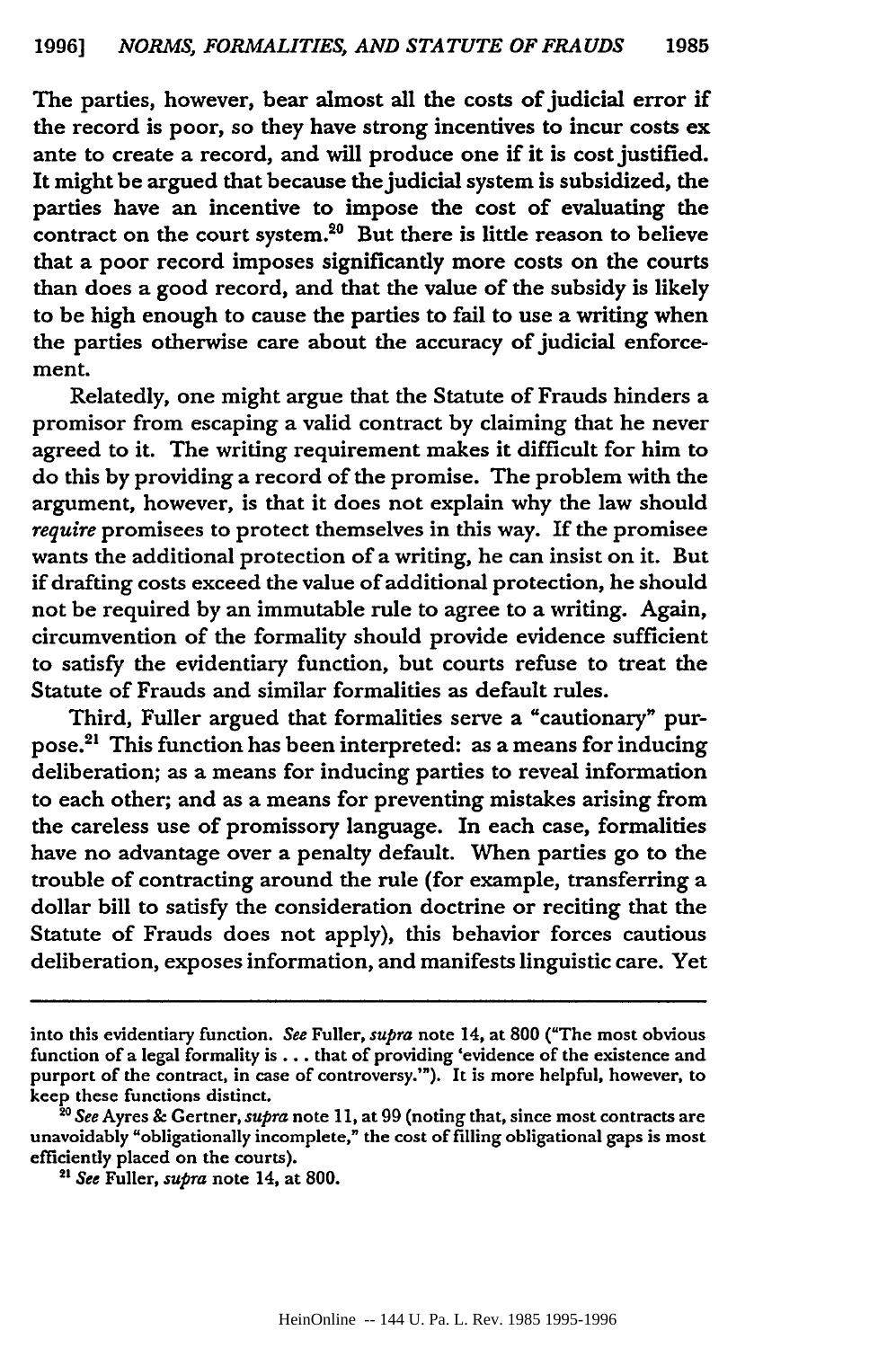The parties, however, bear almost all the costs of judicial error if the record is poor, so they have strong incentives to incur costs ex ante to create a record, and will produce one if it is cost justified. It might be argued that because the judicial system is subsidized, the parties have an incentive to impose the cost of evaluating the contract on the court system. $20$  But there is little reason to believe that a poor record imposes significantly more costs on the courts than does a good record, and that the value of the subsidy is likely to be high enough to cause the parties to fail to use a writing when the parties otherwise care about the accuracy of judicial enforcement.

Relatedly, one might argue that the Statute of Frauds hinders a promisor from escaping a valid contract **by** claiming that he never agreed to it. The writing requirement makes it difficult for him to do this **by** providing a record of the promise. The problem with the argument, however, is that it does not explain why the law should *require* promisees to protect themselves in this way. If the promisee wants the additional protection of a writing, he can insist on it. But if drafting costs exceed the value of additional protection, he should not be required **by** an immutable rule to agree to a writing. Again, circumvention of the formality should provide evidence sufficient to satisfy the evidentiary function, but courts refuse to treat the Statute of Frauds and similar formalities as default rules.

Third, Fuller argued that formalities serve a "cautionary" purpose. 21 This function has been interpreted: as a means for inducing deliberation; as a means for inducing parties to reveal information to each other; and as a means for preventing mistakes arising from the careless use of promissory language. In each case, formalities have no advantage over a penalty default. When parties go to the trouble of contracting around the rule (for example, transferring a dollar bill to satisfy the consideration doctrine or reciting that the Statute of Frauds does not apply), this behavior forces cautious deliberation, exposes information, and manifests linguistic care. Yet

into this evidentiary function. *See* Fuller, *supra* note 14, at **800** ("The most obvious function of a legal formality is... that of providing 'evidence of the existence and purport of the contract, in case of controversy.'"). It is more helpful, however, to keep these functions distinct.

*I See* Ayres **&** Gertner, *supra* note 11, at 99 (noting that, since most contracts are unavoidably "obligationally incomplete," the cost of filling obligational gaps is most efficiently placed on the courts).

*<sup>2</sup> See* Fuller, *supra* note 14, at 800.